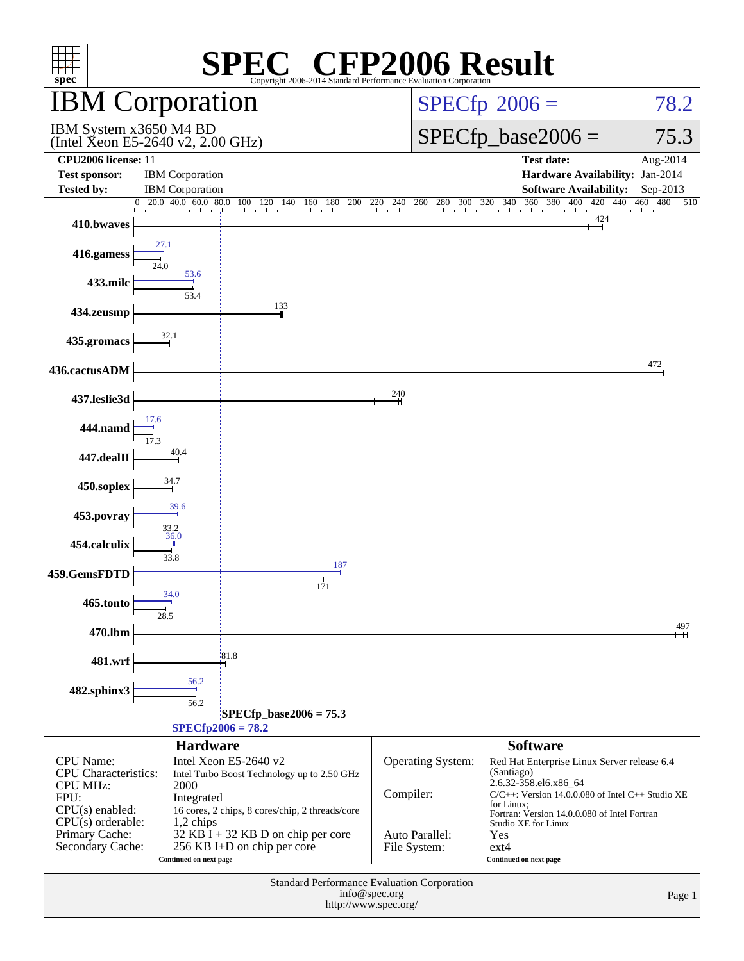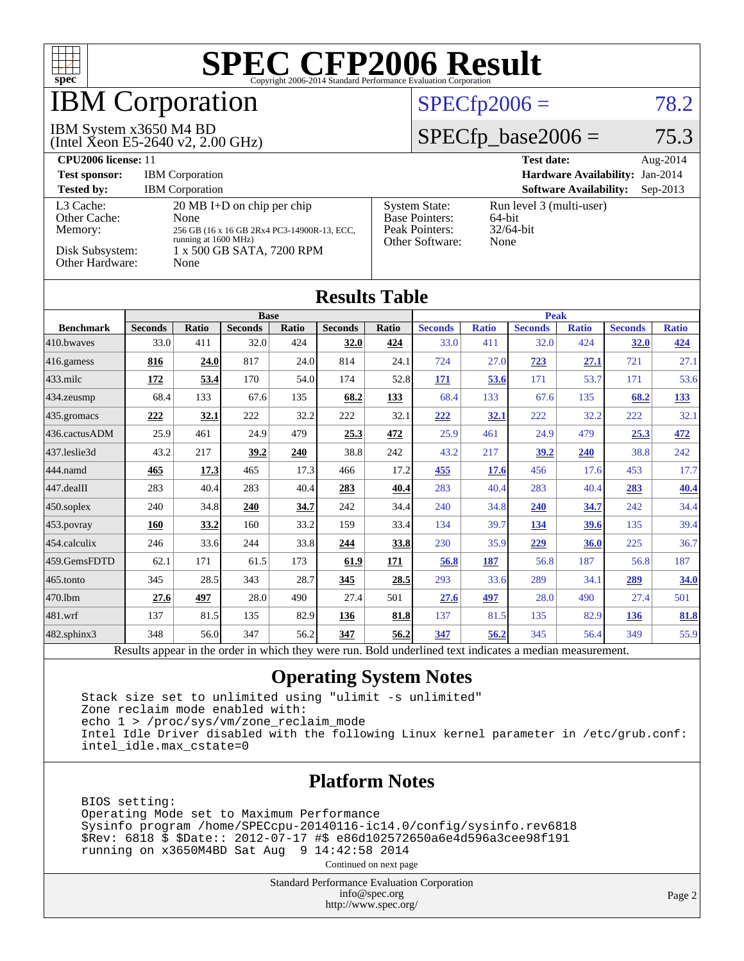

## **BM** Corporation

#### IBM System x3650 M4 BD

(Intel Xeon E5-2640 v2, 2.00 GHz)

#### $SPECfp2006 = 78.2$  $SPECfp2006 = 78.2$

#### $SPECfp\_base2006 = 75.3$

| CPU <sub>2006</sub> license: 11                                            |                                                                                                                                                          |                                                                                    | <b>Test date:</b><br>Aug- $2014$                              |
|----------------------------------------------------------------------------|----------------------------------------------------------------------------------------------------------------------------------------------------------|------------------------------------------------------------------------------------|---------------------------------------------------------------|
| <b>Test sponsor:</b>                                                       | <b>IBM</b> Corporation                                                                                                                                   |                                                                                    | Hardware Availability: Jan-2014                               |
| <b>Tested by:</b>                                                          | <b>IBM</b> Corporation                                                                                                                                   |                                                                                    | <b>Software Availability:</b><br>$Sep-2013$                   |
| L3 Cache:<br>Other Cache:<br>Memory:<br>Disk Subsystem:<br>Other Hardware: | $20 \text{ MB I+D}$ on chip per chip<br>None<br>256 GB (16 x 16 GB 2Rx4 PC3-14900R-13, ECC,<br>running at 1600 MHz)<br>1 x 500 GB SATA, 7200 RPM<br>None | <b>System State:</b><br><b>Base Pointers:</b><br>Peak Pointers:<br>Other Software: | Run level 3 (multi-user)<br>$64$ -bit<br>$32/64$ -bit<br>None |

| <b>Results Table</b> |                             |              |                |                 |                |                          |                |              |                |              |                |              |
|----------------------|-----------------------------|--------------|----------------|-----------------|----------------|--------------------------|----------------|--------------|----------------|--------------|----------------|--------------|
|                      | <b>Base</b>                 |              |                |                 |                | <b>Peak</b>              |                |              |                |              |                |              |
| <b>Benchmark</b>     | <b>Seconds</b>              | <b>Ratio</b> | <b>Seconds</b> | <b>Ratio</b>    | <b>Seconds</b> | Ratio                    | <b>Seconds</b> | <b>Ratio</b> | <b>Seconds</b> | <b>Ratio</b> | <b>Seconds</b> | <b>Ratio</b> |
| 410.bwayes           | 33.0                        | 411          | 32.0           | 424             | 32.0           | 424                      | 33.0           | 411          | 32.0           | 424          | 32.0           | 424          |
| $416$ .gamess        | 816                         | 24.0         | 817            | 24.0            | 814            | 24.1                     | 724            | 27.0         | 723            | 27.1         | 721            | 27.1         |
| $433$ .milc          | <u>172</u>                  | 53.4         | 170            | 54.0            | 174            | 52.8                     | <u>171</u>     | 53.6         | 171            | 53.7         | 171            | 53.6         |
| 434.zeusmp           | 68.4                        | 133          | 67.6           | 135             | 68.2           | 133                      | 68.4           | 133          | 67.6           | 135          | 68.2           | 133          |
| 435.gromacs          | 222                         | 32.1         | 222            | 32.2            | 222            | 32.1                     | 222            | <u>32.1</u>  | 222            | 32.2         | 222            | 32.1         |
| 436.cactusADM        | 25.9                        | 461          | 24.9           | 479             | 25.3           | 472                      | 25.9           | 461          | 24.9           | 479          | 25.3           | 472          |
| 437.leslie3d         | 43.2                        | 217          | 39.2           | 240             | 38.8           | 242                      | 43.2           | 217          | 39.2           | 240          | 38.8           | 242          |
| 444.namd             | 465                         | 17.3         | 465            | 17.3            | 466            | 17.2                     | 455            | 17.6         | 456            | 17.6         | 453            | 17.7         |
| 447.dealII           | 283                         | 40.4         | 283            | 40.4            | 283            | 40.4                     | 283            | 40.4         | 283            | 40.4         | 283            | <b>40.4</b>  |
| $450$ .soplex        | 240                         | 34.8         | 240            | 34.7            | 242            | 34.4                     | 240            | 34.8         | 240            | 34.7         | 242            | 34.4         |
| $ 453$ . povray      | 160                         | 33.2         | 160            | 33.2            | 159            | 33.4                     | 134            | 39.7         | 134            | 39.6         | 135            | 39.4         |
| 454.calculix         | 246                         | 33.6         | 244            | 33.8            | 244            | 33.8                     | 230            | 35.9         | 229            | 36.0         | 225            | 36.7         |
| 459.GemsFDTD         | 62.1                        | 171          | 61.5           | 173             | 61.9           | 171                      | 56.8           | 187          | 56.8           | 187          | 56.8           | 187          |
| 465.tonto            | 345                         | 28.5         | 343            | 28.7            | 345            | 28.5                     | 293            | 33.6         | 289            | 34.1         | 289            | 34.0         |
| 470.1bm              | 27.6                        | 497          | 28.0           | 490             | 27.4           | 501                      | 27.6           | 497          | 28.0           | 490          | 27.4           | 501          |
| 481.wrf              | 137                         | 81.5         | 135            | 82.9            | 136            | 81.8                     | 137            | 81.5         | 135            | 82.9         | <u>136</u>     | 81.8         |
| 482.sphinx3          | 348                         | 56.0         | 347            | 56.2            | 347            | 56.2                     | 347            | 56.2         | 345            | 56.4         | 349            | 55.9         |
|                      | $\mathbf{D}$ . $\mathbf{L}$ | 1.14.1       |                | $2.12 \pm 1.24$ |                | $\mathbf{D}$ $\cdot$ 1.1 |                |              | 11.            |              |                |              |

Results appear in the [order in which they were run.](http://www.spec.org/auto/cpu2006/Docs/result-fields.html#RunOrder) Bold underlined text [indicates a median measurement.](http://www.spec.org/auto/cpu2006/Docs/result-fields.html#Median)

#### **[Operating System Notes](http://www.spec.org/auto/cpu2006/Docs/result-fields.html#OperatingSystemNotes)**

 Stack size set to unlimited using "ulimit -s unlimited" Zone reclaim mode enabled with: echo 1 > /proc/sys/vm/zone\_reclaim\_mode Intel Idle Driver disabled with the following Linux kernel parameter in /etc/grub.conf: intel\_idle.max\_cstate=0

#### **[Platform Notes](http://www.spec.org/auto/cpu2006/Docs/result-fields.html#PlatformNotes)**

 BIOS setting: Operating Mode set to Maximum Performance Sysinfo program /home/SPECcpu-20140116-ic14.0/config/sysinfo.rev6818 \$Rev: 6818 \$ \$Date:: 2012-07-17 #\$ e86d102572650a6e4d596a3cee98f191 running on x3650M4BD Sat Aug 9 14:42:58 2014

Continued on next page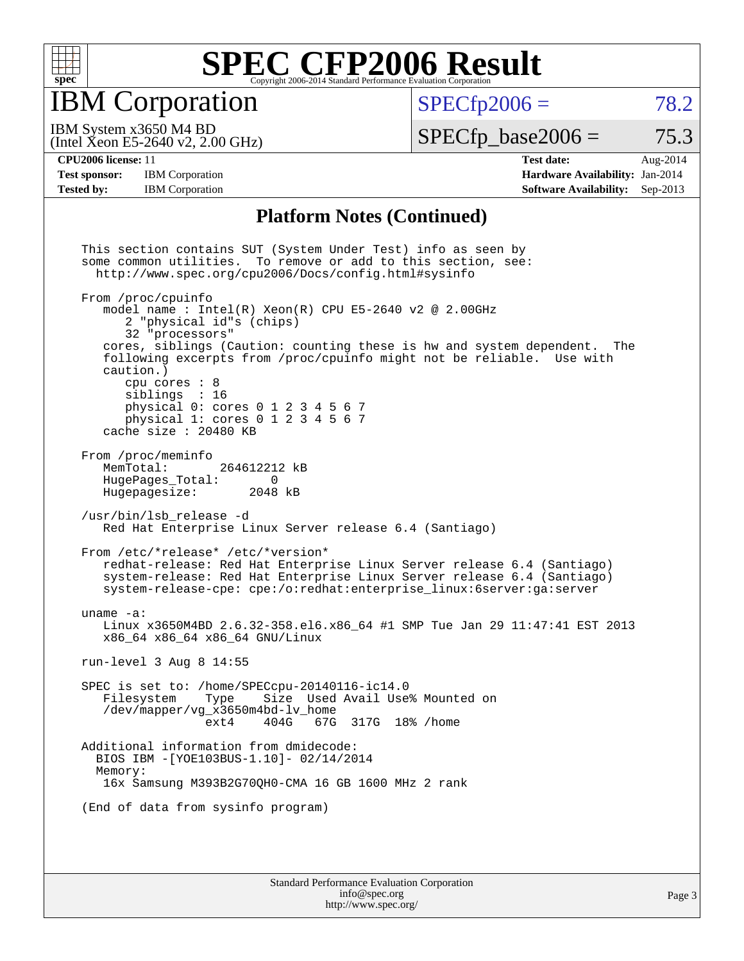

IBM Corporation

 $SPECTp2006 = 78.2$ 

(Intel Xeon E5-2640 v2, 2.00 GHz) IBM System x3650 M4 BD

 $SPECTp\_base2006 = 75.3$ 

**[Test sponsor:](http://www.spec.org/auto/cpu2006/Docs/result-fields.html#Testsponsor)** IBM Corporation **[Hardware Availability:](http://www.spec.org/auto/cpu2006/Docs/result-fields.html#HardwareAvailability)** Jan-2014

**[CPU2006 license:](http://www.spec.org/auto/cpu2006/Docs/result-fields.html#CPU2006license)** 11 **[Test date:](http://www.spec.org/auto/cpu2006/Docs/result-fields.html#Testdate)** Aug-2014 **[Tested by:](http://www.spec.org/auto/cpu2006/Docs/result-fields.html#Testedby)** IBM Corporation **[Software Availability:](http://www.spec.org/auto/cpu2006/Docs/result-fields.html#SoftwareAvailability)** Sep-2013

#### **[Platform Notes \(Continued\)](http://www.spec.org/auto/cpu2006/Docs/result-fields.html#PlatformNotes)**

 This section contains SUT (System Under Test) info as seen by some common utilities. To remove or add to this section, see: <http://www.spec.org/cpu2006/Docs/config.html#sysinfo> From /proc/cpuinfo model name : Intel $(R)$  Xeon $(R)$  CPU E5-2640 v2 @ 2.00GHz 2 "physical id"s (chips) 32 "processors" cores, siblings (Caution: counting these is hw and system dependent. The following excerpts from /proc/cpuinfo might not be reliable. Use with caution.) cpu cores : 8 siblings : 16 physical 0: cores 0 1 2 3 4 5 6 7 physical 1: cores 0 1 2 3 4 5 6 7 cache size : 20480 KB From /proc/meminfo<br>MemTotal: 264612212 kB HugePages\_Total: 0<br>Hugepagesize: 2048 kB Hugepagesize: /usr/bin/lsb\_release -d Red Hat Enterprise Linux Server release 6.4 (Santiago) From /etc/\*release\* /etc/\*version\* redhat-release: Red Hat Enterprise Linux Server release 6.4 (Santiago) system-release: Red Hat Enterprise Linux Server release 6.4 (Santiago) system-release-cpe: cpe:/o:redhat:enterprise\_linux:6server:ga:server uname -a: Linux x3650M4BD 2.6.32-358.el6.x86\_64 #1 SMP Tue Jan 29 11:47:41 EST 2013 x86\_64 x86\_64 x86\_64 GNU/Linux run-level 3 Aug 8 14:55 SPEC is set to: /home/SPECcpu-20140116-ic14.0 Filesystem Type Size Used Avail Use% Mounted on /dev/mapper/vg\_x3650m4bd-lv\_home ext4 404G 67G 317G 18% /home Additional information from dmidecode: BIOS IBM -[YOE103BUS-1.10]- 02/14/2014 Memory: 16x Samsung M393B2G70QH0-CMA 16 GB 1600 MHz 2 rank (End of data from sysinfo program)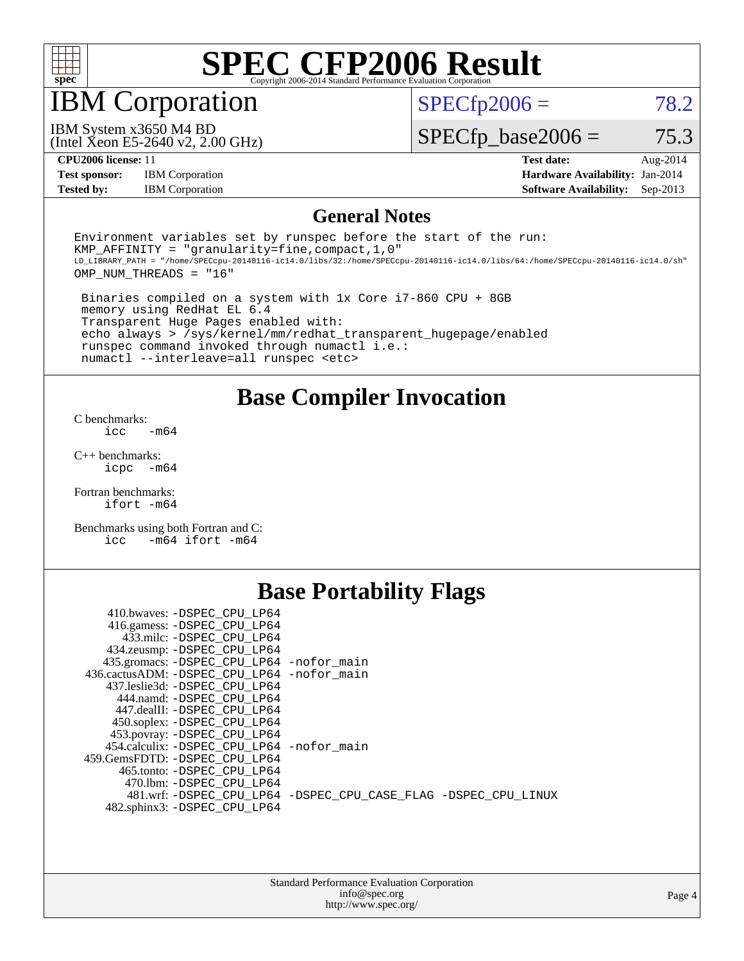

### IBM Corporation

 $SPECTp2006 = 78.2$ 

(Intel Xeon E5-2640 v2, 2.00 GHz) IBM System x3650 M4 BD

 $SPECfp\_base2006 = 75.3$ 

**[Test sponsor:](http://www.spec.org/auto/cpu2006/Docs/result-fields.html#Testsponsor)** IBM Corporation **[Hardware Availability:](http://www.spec.org/auto/cpu2006/Docs/result-fields.html#HardwareAvailability)** Jan-2014

**[CPU2006 license:](http://www.spec.org/auto/cpu2006/Docs/result-fields.html#CPU2006license)** 11 **[Test date:](http://www.spec.org/auto/cpu2006/Docs/result-fields.html#Testdate)** Aug-2014 **[Tested by:](http://www.spec.org/auto/cpu2006/Docs/result-fields.html#Testedby)** IBM Corporation **[Software Availability:](http://www.spec.org/auto/cpu2006/Docs/result-fields.html#SoftwareAvailability)** Sep-2013

#### **[General Notes](http://www.spec.org/auto/cpu2006/Docs/result-fields.html#GeneralNotes)**

Environment variables set by runspec before the start of the run: KMP AFFINITY = "granularity=fine, compact,  $1,0$ " LD\_LIBRARY\_PATH = "/home/SPECcpu-20140116-ic14.0/libs/32:/home/SPECcpu-20140116-ic14.0/libs/64:/home/SPECcpu-20140116-ic14.0/sh" OMP\_NUM\_THREADS = "16"

 Binaries compiled on a system with 1x Core i7-860 CPU + 8GB memory using RedHat EL 6.4 Transparent Huge Pages enabled with: echo always > /sys/kernel/mm/redhat\_transparent\_hugepage/enabled runspec command invoked through numactl i.e.: numactl --interleave=all runspec <etc>

**[Base Compiler Invocation](http://www.spec.org/auto/cpu2006/Docs/result-fields.html#BaseCompilerInvocation)**

[C benchmarks](http://www.spec.org/auto/cpu2006/Docs/result-fields.html#Cbenchmarks):  $\text{icc}$   $-\text{m64}$ 

[C++ benchmarks:](http://www.spec.org/auto/cpu2006/Docs/result-fields.html#CXXbenchmarks) [icpc -m64](http://www.spec.org/cpu2006/results/res2014q3/cpu2006-20140815-30941.flags.html#user_CXXbase_intel_icpc_64bit_bedb90c1146cab66620883ef4f41a67e)

[Fortran benchmarks](http://www.spec.org/auto/cpu2006/Docs/result-fields.html#Fortranbenchmarks): [ifort -m64](http://www.spec.org/cpu2006/results/res2014q3/cpu2006-20140815-30941.flags.html#user_FCbase_intel_ifort_64bit_ee9d0fb25645d0210d97eb0527dcc06e)

[Benchmarks using both Fortran and C](http://www.spec.org/auto/cpu2006/Docs/result-fields.html#BenchmarksusingbothFortranandC): [icc -m64](http://www.spec.org/cpu2006/results/res2014q3/cpu2006-20140815-30941.flags.html#user_CC_FCbase_intel_icc_64bit_0b7121f5ab7cfabee23d88897260401c) [ifort -m64](http://www.spec.org/cpu2006/results/res2014q3/cpu2006-20140815-30941.flags.html#user_CC_FCbase_intel_ifort_64bit_ee9d0fb25645d0210d97eb0527dcc06e)

### **[Base Portability Flags](http://www.spec.org/auto/cpu2006/Docs/result-fields.html#BasePortabilityFlags)**

| 410.bwaves: -DSPEC CPU LP64                 |                                                                |
|---------------------------------------------|----------------------------------------------------------------|
| 416.gamess: -DSPEC_CPU_LP64                 |                                                                |
| 433.milc: -DSPEC_CPU_LP64                   |                                                                |
| 434.zeusmp: - DSPEC_CPU_LP64                |                                                                |
| 435.gromacs: -DSPEC_CPU_LP64 -nofor_main    |                                                                |
| 436.cactusADM: -DSPEC CPU LP64 -nofor main  |                                                                |
| 437.leslie3d: -DSPEC CPU LP64               |                                                                |
| 444.namd: -DSPEC CPU LP64                   |                                                                |
| 447.dealII: -DSPEC CPU LP64                 |                                                                |
| 450.soplex: -DSPEC CPU LP64                 |                                                                |
| 453.povray: -DSPEC_CPU_LP64                 |                                                                |
| 454.calculix: - DSPEC CPU LP64 - nofor main |                                                                |
| 459.GemsFDTD: -DSPEC CPU LP64               |                                                                |
| 465.tonto: -DSPEC CPU LP64                  |                                                                |
| 470.1bm: - DSPEC CPU LP64                   |                                                                |
|                                             | 481.wrf: -DSPEC CPU_LP64 -DSPEC_CPU_CASE_FLAG -DSPEC_CPU_LINUX |
| 482.sphinx3: -DSPEC_CPU_LP64                |                                                                |
|                                             |                                                                |

| <b>Standard Performance Evaluation Corporation</b> |
|----------------------------------------------------|
| info@spec.org                                      |
| http://www.spec.org/                               |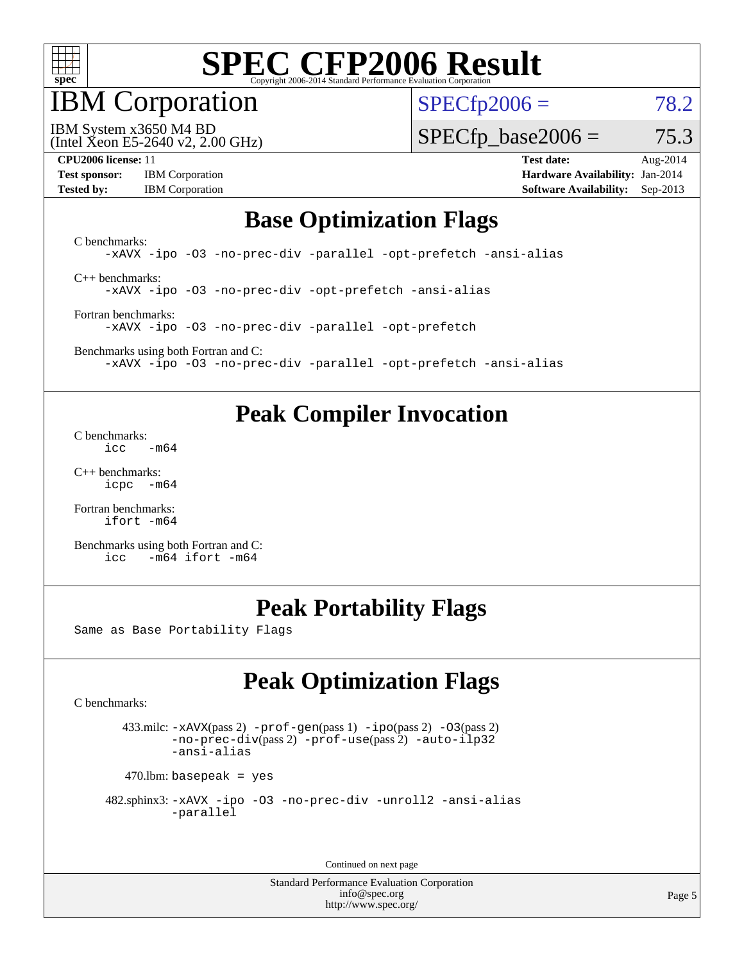

## IBM Corporation

 $SPECfp2006 = 78.2$  $SPECfp2006 = 78.2$ 

(Intel Xeon E5-2640 v2, 2.00 GHz) IBM System x3650 M4 BD

 $SPECTp\_base2006 = 75.3$ 

| <b>Test sponsor:</b> | <b>IBM</b> Corporation |
|----------------------|------------------------|
| <b>Tested by:</b>    | <b>IBM</b> Corporation |

**[CPU2006 license:](http://www.spec.org/auto/cpu2006/Docs/result-fields.html#CPU2006license)** 11 **[Test date:](http://www.spec.org/auto/cpu2006/Docs/result-fields.html#Testdate)** Aug-2014 **[Hardware Availability:](http://www.spec.org/auto/cpu2006/Docs/result-fields.html#HardwareAvailability)** Jan-2014 **[Software Availability:](http://www.spec.org/auto/cpu2006/Docs/result-fields.html#SoftwareAvailability)** Sep-2013

#### **[Base Optimization Flags](http://www.spec.org/auto/cpu2006/Docs/result-fields.html#BaseOptimizationFlags)**

[C benchmarks](http://www.spec.org/auto/cpu2006/Docs/result-fields.html#Cbenchmarks): [-xAVX](http://www.spec.org/cpu2006/results/res2014q3/cpu2006-20140815-30941.flags.html#user_CCbase_f-xAVX) [-ipo](http://www.spec.org/cpu2006/results/res2014q3/cpu2006-20140815-30941.flags.html#user_CCbase_f-ipo) [-O3](http://www.spec.org/cpu2006/results/res2014q3/cpu2006-20140815-30941.flags.html#user_CCbase_f-O3) [-no-prec-div](http://www.spec.org/cpu2006/results/res2014q3/cpu2006-20140815-30941.flags.html#user_CCbase_f-no-prec-div) [-parallel](http://www.spec.org/cpu2006/results/res2014q3/cpu2006-20140815-30941.flags.html#user_CCbase_f-parallel) [-opt-prefetch](http://www.spec.org/cpu2006/results/res2014q3/cpu2006-20140815-30941.flags.html#user_CCbase_f-opt-prefetch) [-ansi-alias](http://www.spec.org/cpu2006/results/res2014q3/cpu2006-20140815-30941.flags.html#user_CCbase_f-ansi-alias) [C++ benchmarks:](http://www.spec.org/auto/cpu2006/Docs/result-fields.html#CXXbenchmarks)

[-xAVX](http://www.spec.org/cpu2006/results/res2014q3/cpu2006-20140815-30941.flags.html#user_CXXbase_f-xAVX) [-ipo](http://www.spec.org/cpu2006/results/res2014q3/cpu2006-20140815-30941.flags.html#user_CXXbase_f-ipo) [-O3](http://www.spec.org/cpu2006/results/res2014q3/cpu2006-20140815-30941.flags.html#user_CXXbase_f-O3) [-no-prec-div](http://www.spec.org/cpu2006/results/res2014q3/cpu2006-20140815-30941.flags.html#user_CXXbase_f-no-prec-div) [-opt-prefetch](http://www.spec.org/cpu2006/results/res2014q3/cpu2006-20140815-30941.flags.html#user_CXXbase_f-opt-prefetch) [-ansi-alias](http://www.spec.org/cpu2006/results/res2014q3/cpu2006-20140815-30941.flags.html#user_CXXbase_f-ansi-alias)

[Fortran benchmarks](http://www.spec.org/auto/cpu2006/Docs/result-fields.html#Fortranbenchmarks): [-xAVX](http://www.spec.org/cpu2006/results/res2014q3/cpu2006-20140815-30941.flags.html#user_FCbase_f-xAVX) [-ipo](http://www.spec.org/cpu2006/results/res2014q3/cpu2006-20140815-30941.flags.html#user_FCbase_f-ipo) [-O3](http://www.spec.org/cpu2006/results/res2014q3/cpu2006-20140815-30941.flags.html#user_FCbase_f-O3) [-no-prec-div](http://www.spec.org/cpu2006/results/res2014q3/cpu2006-20140815-30941.flags.html#user_FCbase_f-no-prec-div) [-parallel](http://www.spec.org/cpu2006/results/res2014q3/cpu2006-20140815-30941.flags.html#user_FCbase_f-parallel) [-opt-prefetch](http://www.spec.org/cpu2006/results/res2014q3/cpu2006-20140815-30941.flags.html#user_FCbase_f-opt-prefetch)

[Benchmarks using both Fortran and C](http://www.spec.org/auto/cpu2006/Docs/result-fields.html#BenchmarksusingbothFortranandC): [-xAVX](http://www.spec.org/cpu2006/results/res2014q3/cpu2006-20140815-30941.flags.html#user_CC_FCbase_f-xAVX) [-ipo](http://www.spec.org/cpu2006/results/res2014q3/cpu2006-20140815-30941.flags.html#user_CC_FCbase_f-ipo) [-O3](http://www.spec.org/cpu2006/results/res2014q3/cpu2006-20140815-30941.flags.html#user_CC_FCbase_f-O3) [-no-prec-div](http://www.spec.org/cpu2006/results/res2014q3/cpu2006-20140815-30941.flags.html#user_CC_FCbase_f-no-prec-div) [-parallel](http://www.spec.org/cpu2006/results/res2014q3/cpu2006-20140815-30941.flags.html#user_CC_FCbase_f-parallel) [-opt-prefetch](http://www.spec.org/cpu2006/results/res2014q3/cpu2006-20140815-30941.flags.html#user_CC_FCbase_f-opt-prefetch) [-ansi-alias](http://www.spec.org/cpu2006/results/res2014q3/cpu2006-20140815-30941.flags.html#user_CC_FCbase_f-ansi-alias)

### **[Peak Compiler Invocation](http://www.spec.org/auto/cpu2006/Docs/result-fields.html#PeakCompilerInvocation)**

[C benchmarks](http://www.spec.org/auto/cpu2006/Docs/result-fields.html#Cbenchmarks):  $\text{icc}$   $-\text{m64}$ 

[C++ benchmarks:](http://www.spec.org/auto/cpu2006/Docs/result-fields.html#CXXbenchmarks) [icpc -m64](http://www.spec.org/cpu2006/results/res2014q3/cpu2006-20140815-30941.flags.html#user_CXXpeak_intel_icpc_64bit_bedb90c1146cab66620883ef4f41a67e)

[Fortran benchmarks](http://www.spec.org/auto/cpu2006/Docs/result-fields.html#Fortranbenchmarks): [ifort -m64](http://www.spec.org/cpu2006/results/res2014q3/cpu2006-20140815-30941.flags.html#user_FCpeak_intel_ifort_64bit_ee9d0fb25645d0210d97eb0527dcc06e)

[Benchmarks using both Fortran and C](http://www.spec.org/auto/cpu2006/Docs/result-fields.html#BenchmarksusingbothFortranandC): [icc -m64](http://www.spec.org/cpu2006/results/res2014q3/cpu2006-20140815-30941.flags.html#user_CC_FCpeak_intel_icc_64bit_0b7121f5ab7cfabee23d88897260401c) [ifort -m64](http://www.spec.org/cpu2006/results/res2014q3/cpu2006-20140815-30941.flags.html#user_CC_FCpeak_intel_ifort_64bit_ee9d0fb25645d0210d97eb0527dcc06e)

### **[Peak Portability Flags](http://www.spec.org/auto/cpu2006/Docs/result-fields.html#PeakPortabilityFlags)**

Same as Base Portability Flags

## **[Peak Optimization Flags](http://www.spec.org/auto/cpu2006/Docs/result-fields.html#PeakOptimizationFlags)**

[C benchmarks](http://www.spec.org/auto/cpu2006/Docs/result-fields.html#Cbenchmarks):

 433.milc: [-xAVX](http://www.spec.org/cpu2006/results/res2014q3/cpu2006-20140815-30941.flags.html#user_peakPASS2_CFLAGSPASS2_LDFLAGS433_milc_f-xAVX)(pass 2) [-prof-gen](http://www.spec.org/cpu2006/results/res2014q3/cpu2006-20140815-30941.flags.html#user_peakPASS1_CFLAGSPASS1_LDFLAGS433_milc_prof_gen_e43856698f6ca7b7e442dfd80e94a8fc)(pass 1) [-ipo](http://www.spec.org/cpu2006/results/res2014q3/cpu2006-20140815-30941.flags.html#user_peakPASS2_CFLAGSPASS2_LDFLAGS433_milc_f-ipo)(pass 2) [-O3](http://www.spec.org/cpu2006/results/res2014q3/cpu2006-20140815-30941.flags.html#user_peakPASS2_CFLAGSPASS2_LDFLAGS433_milc_f-O3)(pass 2) [-no-prec-div](http://www.spec.org/cpu2006/results/res2014q3/cpu2006-20140815-30941.flags.html#user_peakPASS2_CFLAGSPASS2_LDFLAGS433_milc_f-no-prec-div)(pass 2) [-prof-use](http://www.spec.org/cpu2006/results/res2014q3/cpu2006-20140815-30941.flags.html#user_peakPASS2_CFLAGSPASS2_LDFLAGS433_milc_prof_use_bccf7792157ff70d64e32fe3e1250b55)(pass 2) [-auto-ilp32](http://www.spec.org/cpu2006/results/res2014q3/cpu2006-20140815-30941.flags.html#user_peakCOPTIMIZE433_milc_f-auto-ilp32) [-ansi-alias](http://www.spec.org/cpu2006/results/res2014q3/cpu2006-20140815-30941.flags.html#user_peakCOPTIMIZE433_milc_f-ansi-alias)

 $470$ .lbm: basepeak = yes

```
 482.sphinx3: -xAVX -ipo -O3 -no-prec-div -unroll2 -ansi-alias
         -parallel
```
Continued on next page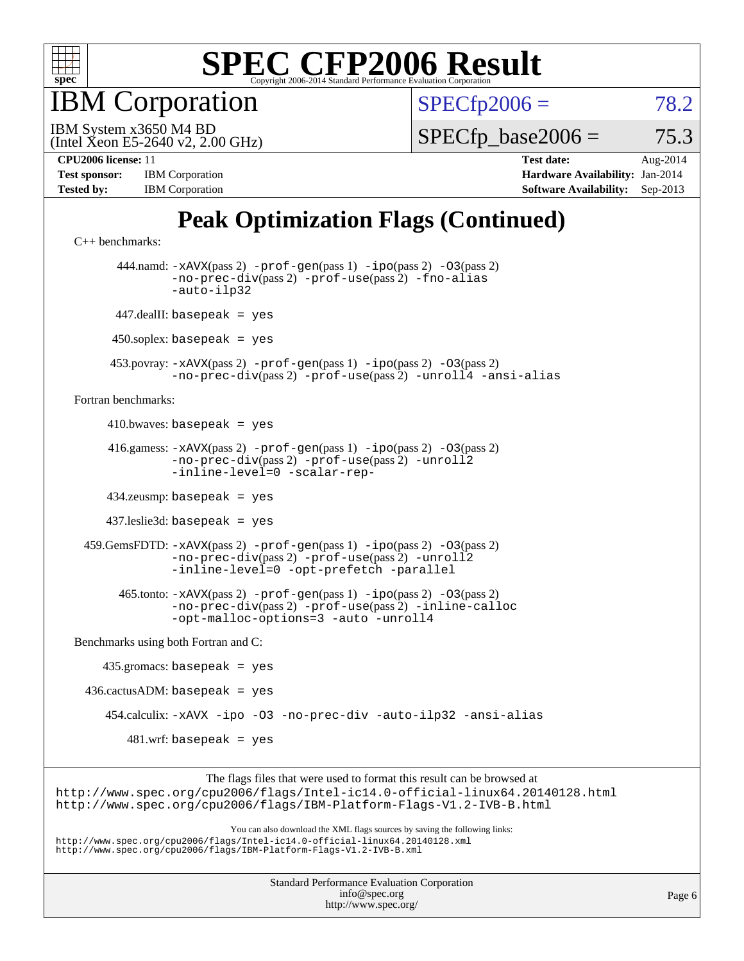

**BM** Corporation

 $SPECfp2006 = 78.2$  $SPECfp2006 = 78.2$ 

(Intel Xeon E5-2640 v2, 2.00 GHz) IBM System x3650 M4 BD

 $SPECTp\_base2006 = 75.3$ 

| <b>Test sponsor:</b> | <b>IBM</b> Corporation |
|----------------------|------------------------|
| <b>Tested by:</b>    | <b>IBM</b> Corporation |

**[CPU2006 license:](http://www.spec.org/auto/cpu2006/Docs/result-fields.html#CPU2006license)** 11 **[Test date:](http://www.spec.org/auto/cpu2006/Docs/result-fields.html#Testdate)** Aug-2014 **[Hardware Availability:](http://www.spec.org/auto/cpu2006/Docs/result-fields.html#HardwareAvailability)** Jan-2014 **[Software Availability:](http://www.spec.org/auto/cpu2006/Docs/result-fields.html#SoftwareAvailability)** Sep-2013

## **[Peak Optimization Flags \(Continued\)](http://www.spec.org/auto/cpu2006/Docs/result-fields.html#PeakOptimizationFlags)**

```
C++ benchmarks: 
        444.namd: -xAVX(pass 2) -prof-gen(pass 1) -ipo(pass 2) -O3(pass 2)
                -no-prec-div(pass 2) -prof-use(pass 2) -fno-alias
                -auto-ilp32
       447.dealII: basepeak = yes
       450.soplex: basepeak = yes
      453.povray: -xAVX(pass 2) -prof-gen(pass 1) -ipo(pass 2) -O3(pass 2)
                -no-prec-div(pass 2) -prof-use(pass 2) -unroll4 -ansi-alias
Fortran benchmarks: 
     410.bwaves: basepeak = yes 416.gamess: -xAVX(pass 2) -prof-gen(pass 1) -ipo(pass 2) -O3(pass 2)
                -no-prec-div(pass 2) -prof-use(pass 2) -unroll2
                -inline-level=0 -scalar-rep-
      434.zeusmp: basepeak = yes
      437.leslie3d: basepeak = yes
  459.GemsFDTD: -xAVX(pass 2) -prof-gen(pass 1) -ipo(pass 2) -O3(pass 2)
                -no-prec-div(pass 2) -prof-use(pass 2) -unroll2
                -inline-level=0 -opt-prefetch -parallel
        465.tonto: -xAVX(pass 2) -prof-gen(pass 1) -ipo(pass 2) -O3(pass 2)
                -no-prec-div(pass 2) -prof-use(pass 2) -inline-calloc
                -opt-malloc-options=3 -auto -unroll4
Benchmarks using both Fortran and C: 
     435.gromacs: basepeak = yes
 436.cactusADM: basepeak = yes 454.calculix: -xAVX -ipo -O3 -no-prec-div -auto-ilp32 -ansi-alias
        481.wrf: basepeak = yes
                     The flags files that were used to format this result can be browsed at
```
<http://www.spec.org/cpu2006/flags/Intel-ic14.0-official-linux64.20140128.html> <http://www.spec.org/cpu2006/flags/IBM-Platform-Flags-V1.2-IVB-B.html>

You can also download the XML flags sources by saving the following links: <http://www.spec.org/cpu2006/flags/Intel-ic14.0-official-linux64.20140128.xml> <http://www.spec.org/cpu2006/flags/IBM-Platform-Flags-V1.2-IVB-B.xml>